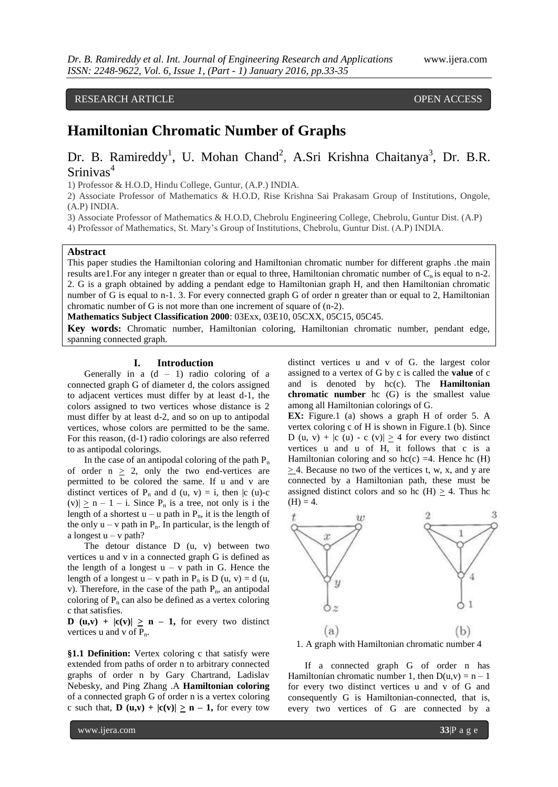# RESEARCH ARTICLE **CONSERVERS**

# **Hamiltonian Chromatic Number of Graphs**

# Dr. B. Ramireddy<sup>1</sup>, U. Mohan Chand<sup>2</sup>, A.Sri Krishna Chaitanya<sup>3</sup>, Dr. B.R. Srinivas<sup>4</sup>

1) Professor & H.O.D, Hindu College, Guntur, (A.P.) INDIA.

2) Associate Professor of Mathematics & H.O.D, Rise Krishna Sai Prakasam Group of Institutions, Ongole, (A.P) INDIA.

3) Associate Professor of Mathematics & H.O.D, Chebrolu Engineering College, Chebrolu, Guntur Dist. (A.P)

4) Professor of Mathematics, St. Mary's Group of Institutions, Chebrolu, Guntur Dist. (A.P) INDIA.

### **Abstract**

This paper studies the Hamiltonian coloring and Hamiltonian chromatic number for different graphs .the main results are 1. For any integer n greater than or equal to three, Hamiltonian chromatic number of  $C_n$  is equal to n-2. 2. G is a graph obtained by adding a pendant edge to Hamiltonian graph H, and then Hamiltonian chromatic number of G is equal to n-1. 3. For every connected graph G of order n greater than or equal to 2, Hamiltonian chromatic number of G is not more than one increment of square of (n-2).

**Mathematics Subject Classification 2000**: [03Exx,](http://www.ams.org/msc/03Exx.html) 03E10, 05CXX, 05C15, 05C45.

**Key words:** Chromatic number, Hamiltonian coloring, Hamiltonian chromatic number, pendant edge, spanning connected graph.

## **I. Introduction**

Generally in a  $(d - 1)$  radio coloring of a connected graph G of diameter d, the colors assigned to adjacent vertices must differ by at least d-1, the colors assigned to two vertices whose distance is 2 must differ by at least d-2, and so on up to antipodal vertices, whose colors are permitted to be the same. For this reason, (d-1) radio colorings are also referred to as antipodal colorings.

In the case of an antipodal coloring of the path  $P_n$ of order  $n \geq 2$ , only the two end-vertices are permitted to be colored the same. If u and v are distinct vertices of  $P_n$  and d (u, v) = i, then |c (u)-c  $(v)$ |  $\geq$  n – 1 – i. Since P<sub>n</sub> is a tree, not only is i the length of a shortest  $u - u$  path in  $P_n$ , it is the length of the only  $u - v$  path in  $P_n$ . In particular, is the length of a longest  $u - v$  path?

The detour distance D (u, v) between two vertices u and v in a connected graph G is defined as the length of a longest  $u - v$  path in G. Hence the length of a longest  $u - v$  path in P<sub>n</sub> is D (u, v) = d (u, v). Therefore, in the case of the path  $P_n$ , an antipodal coloring of  $P_n$  can also be defined as a vertex coloring c that satisfies.

**D** (u,v) +  $|c(v)| \ge n - 1$ , for every two distinct vertices u and v of  $P_n$ .

**§1.1 Definition:** Vertex coloring c that satisfy were extended from paths of order n to arbitrary connected graphs of order n by Gary Chartrand, Ladislav Nebesky, and Ping Zhang .A **Hamiltonian coloring** of a connected graph G of order n is a vertex coloring c such that,  $\mathbf{D}(\mathbf{u}, \mathbf{v}) + |\mathbf{c}(\mathbf{v})| \geq \mathbf{n} - 1$ , for every tow

distinct vertices u and v of G. the largest color assigned to a vertex of G by c is called the **value** of c and is denoted by hc(c). The **Hamiltonian chromatic number** hc (G) is the smallest value among all Hamiltonian colorings of G.

**EX:** Figure.1 (a) shows a graph H of order 5. A vertex coloring c of H is shown in Figure.1 (b). Since D (u, v) +  $|c(u) - c(v)| > 4$  for every two distinct vertices u and u of H, it follows that c is a Hamiltonian coloring and so  $hc(c) = 4$ . Hence hc (H)  $> 4$ . Because no two of the vertices t, w, x, and y are connected by a Hamiltonian path, these must be assigned distinct colors and so hc  $(H) > 4$ . Thus hc  $(H) = 4.$ 



If a connected graph G of order n has Hamiltonian chromatic number 1, then  $D(u, v) = n - 1$ for every two distinct vertices u and v of G and consequently G is Hamiltonian-connected, that is, every two vertices of G are connected by a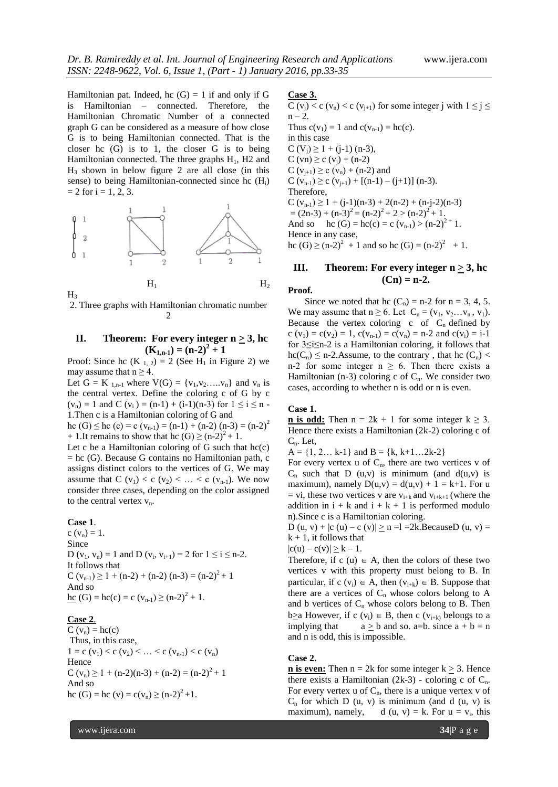Hamiltonian pat. Indeed, hc  $(G) = 1$  if and only if G is Hamiltonian – connected. Therefore, the Hamiltonian Chromatic Number of a connected graph G can be considered as a measure of how close G is to being Hamiltonian connected. That is the closer hc (G) is to 1, the closer G is to being Hamiltonian connected. The three graphs  $H<sub>1</sub>$ , H<sub>2</sub> and  $H_3$  shown in below figure 2 are all close (in this sense) to being Hamiltonian-connected since hc  $(H<sub>i</sub>)$  $= 2$  for  $i = 1, 2, 3$ .



2. Three graphs with Hamiltonian chromatic number  $\mathcal{D}$ 

# **II.** Theorem: For every integer  $n \geq 3$ , hc  $(K_{1,n-1}) = (n-2)^2 + 1$

Proof: Since hc  $(K_{1, 2}) = 2$  (See H<sub>1</sub> in Figure 2) we may assume that  $n \geq 4$ .

Let  $G = K_{1,n-1}$  where  $V(G) = \{v_1, v_2, ..., v_n\}$  and  $v_n$  is the central vertex. Define the coloring c of G by c  $(v_n) = 1$  and C  $(v_i) = (n-1) + (i-1)(n-3)$  for  $1 \le i \le n$ 1.Then c is a Hamiltonian coloring of G and

hc (G)  $\leq$  hc (c) = c (v<sub>n-1</sub>) = (n-1) + (n-2) (n-3) = (n-2)<sup>2</sup> + 1.It remains to show that hc  $(G) \ge (n-2)^2 + 1$ .

Let c be a Hamiltonian coloring of  $G$  such that  $hc(c)$ = hc (G). Because G contains no Hamiltonian path, c assigns distinct colors to the vertices of G. We may assume that  $C(v_1) < c(v_2) < \ldots < c(v_{n-1})$ . We now consider three cases, depending on the color assigned to the central vertex  $v_n$ .

## **Case 1**.

c  $(v_n) = 1$ . Since D  $(v_1, v_n) = 1$  and D  $(v_i, v_{i+1}) = 2$  for  $1 \le i \le n-2$ . It follows that C  $(v_{n-1}) \ge 1 + (n-2) + (n-2) (n-3) = (n-2)^{2} + 1$ And so <u>hc</u> (G) = hc(c) = c ( $v_{n-1}$ )  $\ge$  (n-2)<sup>2</sup> + 1.

## **Case 2**.

 $C(v_n) = hc(c)$ Thus, in this case,  $1 = c (v_1) < c (v_2) < ... < c (v_{n-1}) < c (v_n)$ Hence C (v<sub>n</sub>)  $\geq 1 + (n-2)(n-3) + (n-2) = (n-2)^2 + 1$ And so hc (G) = hc (v) = c(v<sub>n</sub>)  $\ge$  (n-2)<sup>2</sup>+1.

**Case 3.**

C (v<sub>j</sub>) < c (v<sub>n</sub>) < c (v<sub>j+1</sub>) for some integer j with  $1 \le j \le$  $n - 2$ . Thus  $c(v_1) = 1$  and  $c(v_{n-1}) = hc(c)$ . in this case  $C (V_i) \ge 1 + (i-1)$  (n-3),  $C (vn) \ge c (v_i) + (n-2)$  $C (v_{i+1}) \ge c (v_n) + (n-2)$  and C  $(v_{n-1}) \ge c (v_{i+1}) + [(n-1) - (j+1)] (n-3).$ Therefore, C  $(v_{n-1}) \ge 1 + (j-1)(n-3) + 2(n-2) + (n-j-2)(n-3)$  $=(2n-3)+(n-3)^2=(n-2)^2+2>(n-2)^2+1.$ And so hc (G) = hc(c) = c ( $v_{n-1}$ ) > (n-2)<sup>2+</sup> 1.

# **III. Theorem: For every integer n > 3, hc**   $(Cn) = n-2.$

hc  $(G) \ge (n-2)^2 + 1$  and so hc  $(G) = (n-2)^2 + 1$ .

#### **Proof.**

Hence in any case,

Since we noted that hc  $(C_n)$  = n-2 for n = 3, 4, 5. We may assume that  $n \ge 6$ . Let  $C_n = (v_1, v_2...v_n, v_1)$ . Because the vertex coloring c of  $C_n$  defined by c (v<sub>1</sub>) = c(v<sub>2</sub>) = 1, c(v<sub>n-1</sub>) = c(v<sub>n</sub>) = n-2 and c(v<sub>i</sub>) = i-1 for 3≤i≤n-2 is a Hamiltonian coloring, it follows that  $hc(C_n) \leq n-2$ . Assume, to the contrary, that hc  $(C_n)$  < n-2 for some integer  $n \ge 6$ . Then there exists a Hamiltonian (n-3) coloring c of  $C_n$ . We consider two cases, according to whether n is odd or n is even.

#### **Case 1.**

**n** is odd: Then  $n = 2k + 1$  for some integer  $k \ge 3$ . Hence there exists a Hamiltonian (2k-2) coloring c of  $C_n$ . Let,

 $A = \{1, 2... k-1\}$  and  $B = \{k, k+1... 2k-2\}$ 

For every vertex u of  $C_n$ , there are two vertices v of  $C_n$  such that D (u,v) is minimum (and  $d(u,v)$  is maximum), namely  $D(u,v) = d(u,v) + 1 = k+1$ . For u = vi, these two vertices v are  $v_{i+k}$  and  $v_{i+k+1}$  (where the addition in  $i + k$  and  $i + k + 1$  is performed modulo n).Since c is a Hamiltonian coloring.

D (u, v) +  $|c(u) - c(v)| \ge n = 1 = 2k$ . BecauseD (u, v) =  $k + 1$ , it follows that

 $|c(u) - c(v)| \ge k - 1.$ 

Therefore, if c (u)  $\in$  A, then the colors of these two vertices v with this property must belong to B. In particular, if  $c(v_i) \in A$ , then  $(v_{i+k}) \in B$ . Suppose that there are a vertices of  $C_n$  whose colors belong to A and b vertices of  $C_n$  whose colors belong to B. Then b $\geq$ a However, if c (v<sub>i</sub>)  $\in$  B, then c (v<sub>i+k)</sub> belongs to a implying that  $a \ge b$  and so. a=b. since  $a + b = n$ and n is odd, this is impossible.

#### **Case 2.**

**<u>n is even:</u>** Then  $n = 2k$  for some integer  $k \ge 3$ . Hence there exists a Hamiltonian  $(2k-3)$  - coloring c of  $C_n$ . For every vertex u of  $C_n$ , there is a unique vertex v of  $C_n$  for which D (u, v) is minimum (and d (u, v) is maximum), namely, d  $(u, v) = k$ . For  $u = v_i$ , this